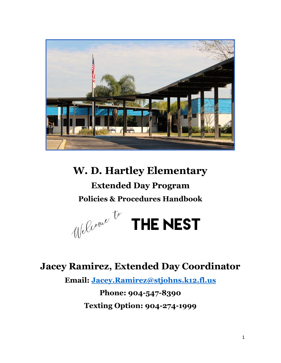

# **W. D. Hartley Elementary**

**Extended Day Program Policies & Procedures Handbook**



# **Jacey Ramirez, Extended Day Coordinator**

**Email: [Jacey.Ramirez@stjohns.k12.fl.us](mailto:Jacey.Ramirez@stjohns.k12.fl.us)**

**Phone: 904-547-8390 Texting Option: 904-274-1999**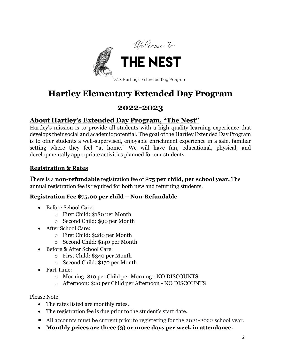

# **Hartley Elementary Extended Day Program**

# **2022-2023**

## **About Hartley's Extended Day Program, "The Nest"**

Hartley's mission is to provide all students with a high-quality learning experience that develops their social and academic potential. The goal of the Hartley Extended Day Program is to offer students a well-supervised, enjoyable enrichment experience in a safe, familiar setting where they feel "at home." We will have fun, educational, physical, and developmentally appropriate activities planned for our students.

#### **Registration & Rates**

There is a **non-refundable** registration fee of **\$75 per child, per school year.** The annual registration fee is required for both new and returning students.

## **Registration Fee \$75.00 per child – Non-Refundable**

- Before School Care:
	- o First Child: \$180 per Month
	- o Second Child: \$90 per Month
- After School Care:
	- o First Child: \$280 per Month
	- o Second Child: \$140 per Month
- Before & After School Care:
	- o First Child: \$340 per Month
	- o Second Child: \$170 per Month
- Part Time:
	- o Morning: \$10 per Child per Morning NO DISCOUNTS
	- o Afternoon: \$20 per Child per Afternoon NO DISCOUNTS

Please Note:

- The rates listed are monthly rates.
- The registration fee is due prior to the student's start date.
- All accounts must be current prior to registering for the 2021-2022 school year.
- **Monthly prices are three (3) or more days per week in attendance.**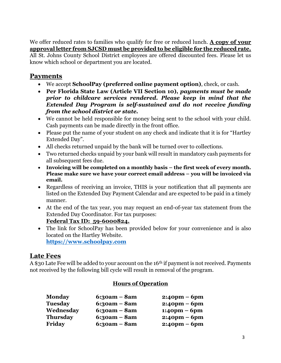We offer reduced rates to families who qualify for free or reduced lunch. **A copy of your approval letter from SJCSD must be provided to be eligible for the reduced rate.**

All St. Johns County School District employees are offered discounted fees. Please let us know which school or department you are located.

## **Payments**

- We accept **SchoolPay (preferred online payment option)**, check, or cash.
- **Per Florida State Law (Article VII Section 10),** *payments must be made prior to childcare services rendered. Please keep in mind that the Extended Day Program is self-sustained and do not receive funding from the school district or state.*
- We cannot be held responsible for money being sent to the school with your child. Cash payments can be made directly in the front office.
- Please put the name of your student on any check and indicate that it is for "Hartley" Extended Day".
- All checks returned unpaid by the bank will be turned over to collections.
- Two returned checks unpaid by your bank will result in mandatory cash payments for all subsequent fees due.
- **Invoicing will be completed on a monthly basis – the first week of every month. Please make sure we have your correct email address – you will be invoiced via email.**
- Regardless of receiving an invoice, THIS is your notification that all payments are listed on the Extended Day Payment Calendar and are expected to be paid in a timely manner.
- At the end of the tax year, you may request an end-of-year tax statement from the Extended Day Coordinator. For tax purposes:

#### **Federal Tax ID: 59-6000824.**

• The link for SchoolPay has been provided below for your convenience and is also located on the Hartley Website.

**[https://www.schoolpay.com](https://www.schoolpay.com/)**

## **Late Fees**

A \$30 Late Fee will be added to your account on the 16<sup>th</sup> if payment is not received. Payments not received by the following bill cycle will result in removal of the program.

## **Hours of Operation**

| $6:30am - 8am$     | $2:40 \text{pm} - 6 \text{pm}$ |
|--------------------|--------------------------------|
| $6:30am - 8am$     | $2:40 \text{pm} - 6 \text{pm}$ |
| $6:30am - 8am$     | $1:40 \text{pm} - 6 \text{pm}$ |
| $6:30am - 8am$     | $2:40 \text{pm} - 6 \text{pm}$ |
| $6:3$ oam – $8$ am | $2:40$ pm – 6pm                |
|                    |                                |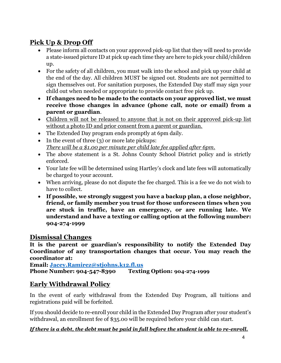# **Pick Up & Drop Off**

- Please inform all contacts on your approved pick-up list that they will need to provide a state-issued picture ID at pick up each time they are here to pick your child/children up.
- For the safety of all children, you must walk into the school and pick up your child at the end of the day. All children MUST be signed out. Students are not permitted to sign themselves out. For sanitation purposes, the Extended Day staff may sign your child out when needed or appropriate to provide contact free pick up.
- **If changes need to be made to the contacts on your approved list, we must receive those changes in advance (phone call, note or email) from a parent or guardian**.
- Children will not be released to anyone that is not on their approved pick-up list without a photo ID and prior consent from a parent or guardian.
- The Extended Day program ends promptly at 6pm daily.
- In the event of three (3) or more late pickups: *There will be a \$1.00 per minute per child late fee applied after 6pm.*
- The above statement is a St. Johns County School District policy and is strictly enforced.
- Your late fee will be determined using Hartley's clock and late fees will automatically be charged to your account.
- When arriving, please do not dispute the fee charged. This is a fee we do not wish to have to collect.
- **If possible, we strongly suggest you have a backup plan, a close neighbor, friend, or family member you trust for those unforeseen times when you are stuck in traffic, have an emergency, or are running late. We understand and have a texting or calling option at the following number: 904-274-1999**

## **Dismissal Changes**

**It is the parent or guardian's responsibility to notify the Extended Day Coordinator of any transportation changes that occur. You may reach the coordinator at:** 

**Email: [Jacey.Ramirez@stjohns.k12.fl.us](mailto:Jacey.Ramirez@stjohns.k12.fl.us) Phone Number: 904-547-8390 Texting Option: 904-274-1999**

# **Early Withdrawal Policy**

In the event of early withdrawal from the Extended Day Program, all tuitions and registrations paid will be forfeited.

If you should decide to re-enroll your child in the Extended Day Program after your student's withdrawal, an enrollment fee of \$35.00 will be required before your child can start.

## *If there is a debt, the debt must be paid in full before the student is able to re-enroll.*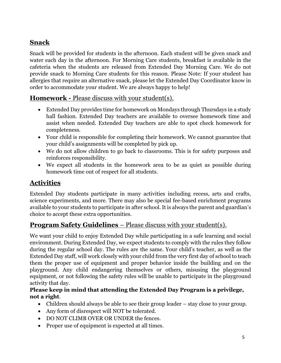## **Snack**

Snack will be provided for students in the afternoon. Each student will be given snack and water each day in the afternoon. For Morning Care students, breakfast is available in the cafeteria when the students are released from Extended Day Morning Care. We do not provide snack to Morning Care students for this reason. Please Note: If your student has allergies that require an alternative snack, please let the Extended Day Coordinator know in order to accommodate your student. We are always happy to help!

## **Homework -** Please discuss with your student(s).

- Extended Day provides time for homework on Mondays through Thursdays in a study hall fashion. Extended Day teachers are available to oversee homework time and assist when needed. Extended Day teachers are able to spot check homework for completeness.
- Your child is responsible for completing their homework. We cannot guarantee that your child's assignments will be completed by pick up.
- We do not allow children to go back to classrooms. This is for safety purposes and reinforces responsibility.
- We expect all students in the homework area to be as quiet as possible during homework time out of respect for all students.

## **Activities**

Extended Day students participate in many activities including recess, arts and crafts, science experiments, and more. There may also be special fee-based enrichment programs available to your students to participate in after school. It is always the parent and guardian's choice to accept these extra opportunities.

## **Program Safety Guidelines** – Please discuss with your student(s).

We want your child to enjoy Extended Day while participating in a safe learning and social environment. During Extended Day, we expect students to comply with the rules they follow during the regular school day. The rules are the same. Your child's teacher, as well as the Extended Day staff, will work closely with your child from the very first day of school to teach them the proper use of equipment and proper behavior inside the building and on the playground. Any child endangering themselves or others, misusing the playground equipment, or not following the safety rules will be unable to participate in the playground activity that day.

#### **Please keep in mind that attending the Extended Day Program is a privilege, not a right**.

- Children should always be able to see their group leader stay close to your group.
- Any form of disrespect will NOT be tolerated.
- DO NOT CLIMB OVER OR UNDER the fences.
- Proper use of equipment is expected at all times.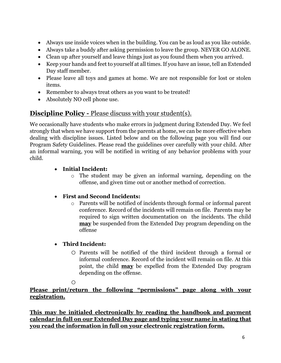- Always use inside voices when in the building. You can be as loud as you like outside.
- Always take a buddy after asking permission to leave the group. NEVER GO ALONE.
- Clean up after yourself and leave things just as you found them when you arrived.
- Keep your hands and feet to yourself at all times. If you have an issue, tell an Extended Day staff member.
- Please leave all toys and games at home. We are not responsible for lost or stolen items.
- Remember to always treat others as you want to be treated!
- Absolutely NO cell phone use.

## **Discipline Policy -** Please discuss with your student(s).

We occasionally have students who make errors in judgment during Extended Day. We feel strongly that when we have support from the parents at home, we can be more effective when dealing with discipline issues. Listed below and on the following page you will find our Program Safety Guidelines. Please read the guidelines over carefully with your child. After an informal warning, you will be notified in writing of any behavior problems with your child.

## • **Initial Incident:**

o The student may be given an informal warning, depending on the offense, and given time out or another method of correction.

## • **First and Second Incidents:**

o Parents will be notified of incidents through formal or informal parent conference. Record of the incidents will remain on file. Parents may be required to sign written documentation on the incidents. The child **may** be suspended from the Extended Day program depending on the offense

## • **Third Incident:**

o Parents will be notified of the third incident through a formal or informal conference. Record of the incident will remain on file. At this point, the child **may** be expelled from the Extended Day program depending on the offense.

o

**Please print/return the following "permissions" page along with your registration.**

**This may be initialed electronically by reading the handbook and payment calendar in full on our Extended Day page and typing your name in stating that you read the information in full on your electronic registration form.**